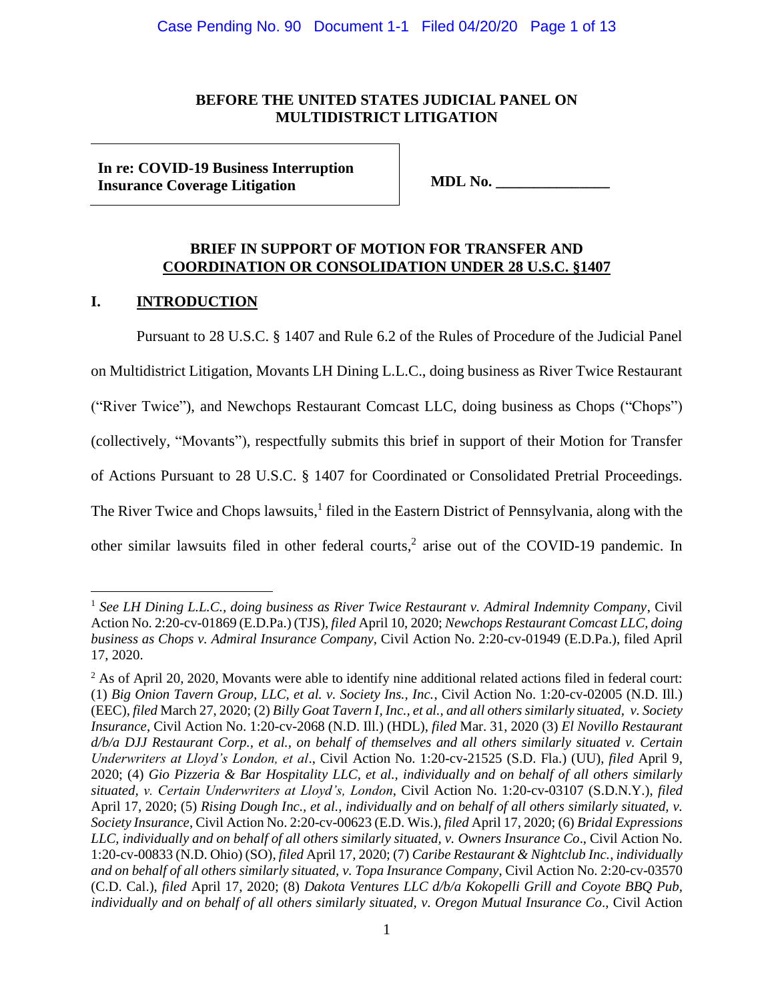# **BEFORE THE UNITED STATES JUDICIAL PANEL ON MULTIDISTRICT LITIGATION**

**In re: COVID-19 Business Interruption Insurance Coverage Litigation MDL No. \_\_\_\_\_\_\_\_\_\_\_\_\_\_\_**

# **BRIEF IN SUPPORT OF MOTION FOR TRANSFER AND COORDINATION OR CONSOLIDATION UNDER 28 U.S.C. §1407**

# **I. INTRODUCTION**

Pursuant to 28 U.S.C. § 1407 and Rule 6.2 of the Rules of Procedure of the Judicial Panel

on Multidistrict Litigation, Movants LH Dining L.L.C., doing business as River Twice Restaurant

("River Twice"), and Newchops Restaurant Comcast LLC, doing business as Chops ("Chops")

(collectively, "Movants"), respectfully submits this brief in support of their Motion for Transfer

of Actions Pursuant to 28 U.S.C. § 1407 for Coordinated or Consolidated Pretrial Proceedings.

The River Twice and Chops lawsuits,<sup>1</sup> filed in the Eastern District of Pennsylvania, along with the

other similar lawsuits filed in other federal courts, 2 arise out of the COVID-19 pandemic. In

<sup>1</sup> *See LH Dining L.L.C., doing business as River Twice Restaurant v. Admiral Indemnity Company*, Civil Action No. 2:20-cv-01869 (E.D.Pa.) (TJS), *filed* April 10, 2020; *Newchops Restaurant Comcast LLC, doing business as Chops v. Admiral Insurance Company*, Civil Action No. 2:20-cv-01949 (E.D.Pa.), filed April 17, 2020.

<sup>&</sup>lt;sup>2</sup> As of April 20, 2020, Movants were able to identify nine additional related actions filed in federal court: (1) *Big Onion Tavern Group, LLC, et al. v. Society Ins., Inc.*, Civil Action No. 1:20-cv-02005 (N.D. Ill.) (EEC), *filed* March 27, 2020; (2) *Billy Goat Tavern I, Inc., et al., and all others similarly situated, v. Society Insurance*, Civil Action No. 1:20-cv-2068 (N.D. Ill.) (HDL), *filed* Mar. 31, 2020 (3) *El Novillo Restaurant d/b/a DJJ Restaurant Corp., et al., on behalf of themselves and all others similarly situated v. Certain Underwriters at Lloyd's London, et al*., Civil Action No. 1:20-cv-21525 (S.D. Fla.) (UU), *filed* April 9, 2020; (4) *Gio Pizzeria & Bar Hospitality LLC, et al., individually and on behalf of all others similarly situated, v. Certain Underwriters at Lloyd's, London*, Civil Action No. 1:20-cv-03107 (S.D.N.Y.), *filed* April 17, 2020; (5) *Rising Dough Inc., et al., individually and on behalf of all others similarly situated, v. Society Insurance*, Civil Action No. 2:20-cv-00623 (E.D. Wis.), *filed* April 17, 2020; (6) *Bridal Expressions LLC, individually and on behalf of all others similarly situated, v. Owners Insurance Co*., Civil Action No. 1:20-cv-00833 (N.D. Ohio) (SO), *filed* April 17, 2020; (7) *Caribe Restaurant & Nightclub Inc., individually and on behalf of all others similarly situated, v. Topa Insurance Company*, Civil Action No. 2:20-cv-03570 (C.D. Cal.), *filed* April 17, 2020; (8) *Dakota Ventures LLC d/b/a Kokopelli Grill and Coyote BBQ Pub, individually and on behalf of all others similarly situated, v. Oregon Mutual Insurance Co*., Civil Action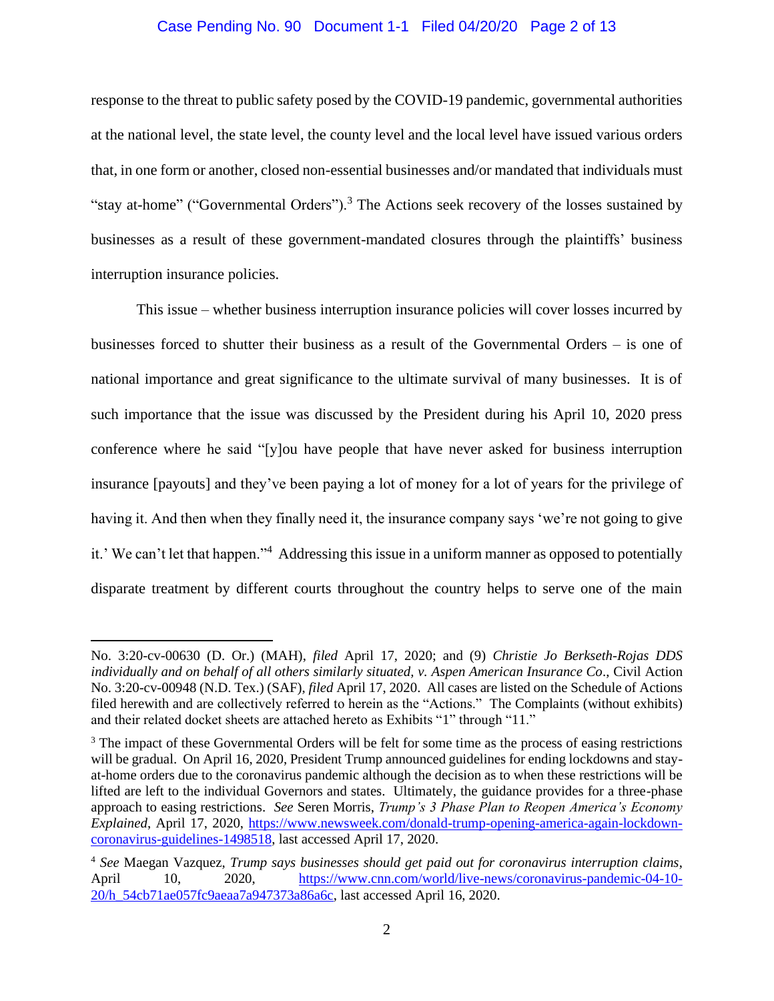### Case Pending No. 90 Document 1-1 Filed 04/20/20 Page 2 of 13

response to the threat to public safety posed by the COVID-19 pandemic, governmental authorities at the national level, the state level, the county level and the local level have issued various orders that, in one form or another, closed non-essential businesses and/or mandated that individuals must "stay at-home" ("Governmental Orders").<sup>3</sup> The Actions seek recovery of the losses sustained by businesses as a result of these government-mandated closures through the plaintiffs' business interruption insurance policies.

This issue – whether business interruption insurance policies will cover losses incurred by businesses forced to shutter their business as a result of the Governmental Orders – is one of national importance and great significance to the ultimate survival of many businesses. It is of such importance that the issue was discussed by the President during his April 10, 2020 press conference where he said "[y]ou have people that have never asked for business interruption insurance [payouts] and they've been paying a lot of money for a lot of years for the privilege of having it. And then when they finally need it, the insurance company says 'we're not going to give it.' We can't let that happen." <sup>4</sup> Addressing this issue in a uniform manner as opposed to potentially disparate treatment by different courts throughout the country helps to serve one of the main

No. 3:20-cv-00630 (D. Or.) (MAH), *filed* April 17, 2020; and (9) *Christie Jo Berkseth-Rojas DDS individually and on behalf of all others similarly situated, v. Aspen American Insurance Co*., Civil Action No. 3:20-cv-00948 (N.D. Tex.) (SAF), *filed* April 17, 2020. All cases are listed on the Schedule of Actions filed herewith and are collectively referred to herein as the "Actions." The Complaints (without exhibits) and their related docket sheets are attached hereto as Exhibits "1" through "11."

<sup>&</sup>lt;sup>3</sup> The impact of these Governmental Orders will be felt for some time as the process of easing restrictions will be gradual. On April 16, 2020, President Trump announced guidelines for ending lockdowns and stayat-home orders due to the coronavirus pandemic although the decision as to when these restrictions will be lifted are left to the individual Governors and states. Ultimately, the guidance provides for a three-phase approach to easing restrictions. *See* Seren Morris, *Trump's 3 Phase Plan to Reopen America's Economy Explained*, April 17, 2020, https://www.newsweek.com/donald-trump-opening-america-again-lockdowncoronavirus-guidelines-1498518, last accessed April 17, 2020.

<sup>4</sup> *See* Maegan Vazquez, *Trump says businesses should get paid out for coronavirus interruption claims*, April 10, 2020, https://www.cnn.com/world/live-news/coronavirus-pandemic-04-10- 20/h\_54cb71ae057fc9aeaa7a947373a86a6c, last accessed April 16, 2020.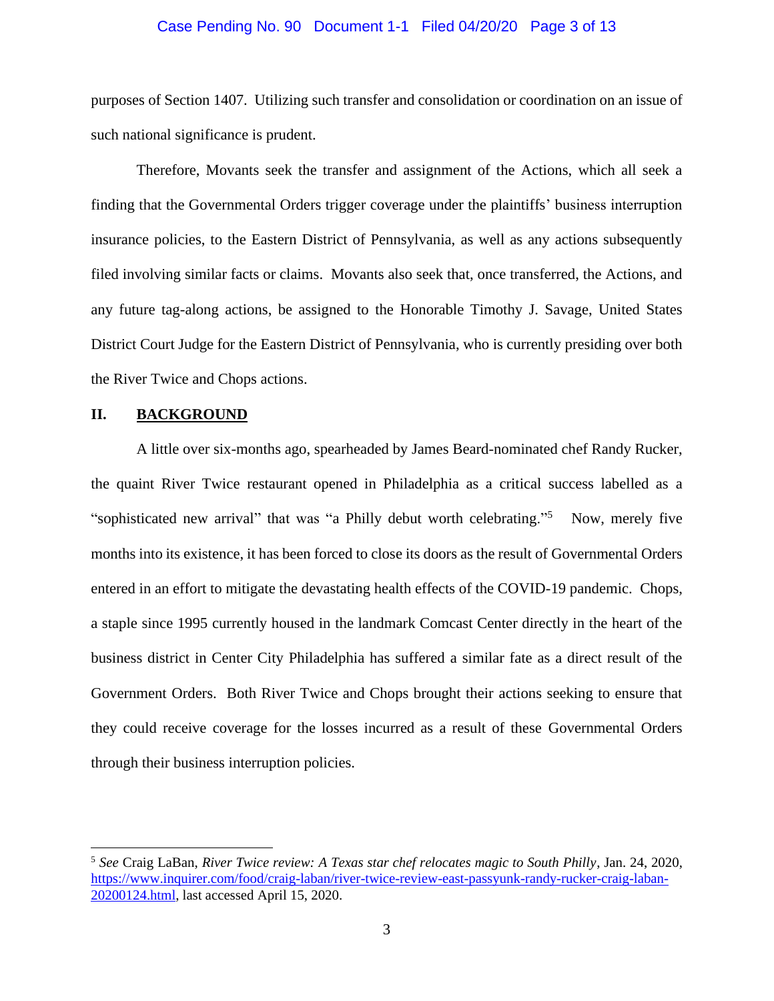#### Case Pending No. 90 Document 1-1 Filed 04/20/20 Page 3 of 13

purposes of Section 1407. Utilizing such transfer and consolidation or coordination on an issue of such national significance is prudent.

Therefore, Movants seek the transfer and assignment of the Actions, which all seek a finding that the Governmental Orders trigger coverage under the plaintiffs' business interruption insurance policies, to the Eastern District of Pennsylvania, as well as any actions subsequently filed involving similar facts or claims. Movants also seek that, once transferred, the Actions, and any future tag-along actions, be assigned to the Honorable Timothy J. Savage, United States District Court Judge for the Eastern District of Pennsylvania, who is currently presiding over both the River Twice and Chops actions.

### **II. BACKGROUND**

A little over six-months ago, spearheaded by James Beard-nominated chef Randy Rucker, the quaint River Twice restaurant opened in Philadelphia as a critical success labelled as a "sophisticated new arrival" that was "a Philly debut worth celebrating."<sup>5</sup> Now, merely five months into its existence, it has been forced to close its doors as the result of Governmental Orders entered in an effort to mitigate the devastating health effects of the COVID-19 pandemic. Chops, a staple since 1995 currently housed in the landmark Comcast Center directly in the heart of the business district in Center City Philadelphia has suffered a similar fate as a direct result of the Government Orders. Both River Twice and Chops brought their actions seeking to ensure that they could receive coverage for the losses incurred as a result of these Governmental Orders through their business interruption policies.

<sup>5</sup> *See* Craig LaBan, *River Twice review: A Texas star chef relocates magic to South Philly*, Jan. 24, 2020, https://www.inquirer.com/food/craig-laban/river-twice-review-east-passyunk-randy-rucker-craig-laban-20200124.html, last accessed April 15, 2020.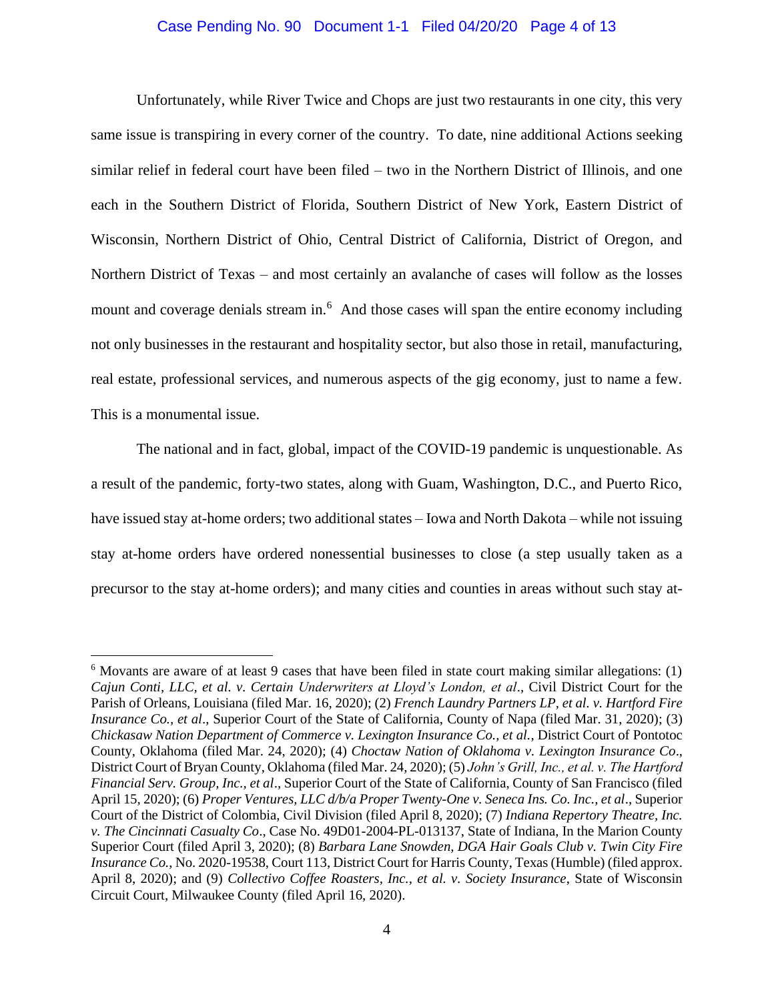#### Case Pending No. 90 Document 1-1 Filed 04/20/20 Page 4 of 13

Unfortunately, while River Twice and Chops are just two restaurants in one city, this very same issue is transpiring in every corner of the country. To date, nine additional Actions seeking similar relief in federal court have been filed – two in the Northern District of Illinois, and one each in the Southern District of Florida, Southern District of New York, Eastern District of Wisconsin, Northern District of Ohio, Central District of California, District of Oregon, and Northern District of Texas – and most certainly an avalanche of cases will follow as the losses mount and coverage denials stream in.<sup>6</sup> And those cases will span the entire economy including not only businesses in the restaurant and hospitality sector, but also those in retail, manufacturing, real estate, professional services, and numerous aspects of the gig economy, just to name a few. This is a monumental issue.

The national and in fact, global, impact of the COVID-19 pandemic is unquestionable. As a result of the pandemic, forty-two states, along with Guam, Washington, D.C., and Puerto Rico, have issued stay at-home orders; two additional states – Iowa and North Dakota – while not issuing stay at-home orders have ordered nonessential businesses to close (a step usually taken as a precursor to the stay at-home orders); and many cities and counties in areas without such stay at-

<sup>6</sup> Movants are aware of at least 9 cases that have been filed in state court making similar allegations: (1) *Cajun Conti, LLC, et al. v. Certain Underwriters at Lloyd's London, et al*., Civil District Court for the Parish of Orleans, Louisiana (filed Mar. 16, 2020); (2) *French Laundry Partners LP, et al. v. Hartford Fire Insurance Co., et al*., Superior Court of the State of California, County of Napa (filed Mar. 31, 2020); (3) *Chickasaw Nation Department of Commerce v. Lexington Insurance Co., et al.*, District Court of Pontotoc County, Oklahoma (filed Mar. 24, 2020); (4) *Choctaw Nation of Oklahoma v. Lexington Insurance Co*., District Court of Bryan County, Oklahoma (filed Mar. 24, 2020); (5) *John's Grill, Inc., et al. v. The Hartford Financial Serv. Group, Inc., et al*., Superior Court of the State of California, County of San Francisco (filed April 15, 2020); (6) *Proper Ventures, LLC d/b/a Proper Twenty-One v. Seneca Ins. Co. Inc., et al*., Superior Court of the District of Colombia, Civil Division (filed April 8, 2020); (7) *Indiana Repertory Theatre, Inc. v. The Cincinnati Casualty Co*., Case No. 49D01-2004-PL-013137, State of Indiana, In the Marion County Superior Court (filed April 3, 2020); (8) *Barbara Lane Snowden, DGA Hair Goals Club v. Twin City Fire Insurance Co.*, No. 2020-19538, Court 113, District Court for Harris County, Texas (Humble) (filed approx. April 8, 2020); and (9) *Collectivo Coffee Roasters, Inc., et al. v. Society Insurance*, State of Wisconsin Circuit Court, Milwaukee County (filed April 16, 2020).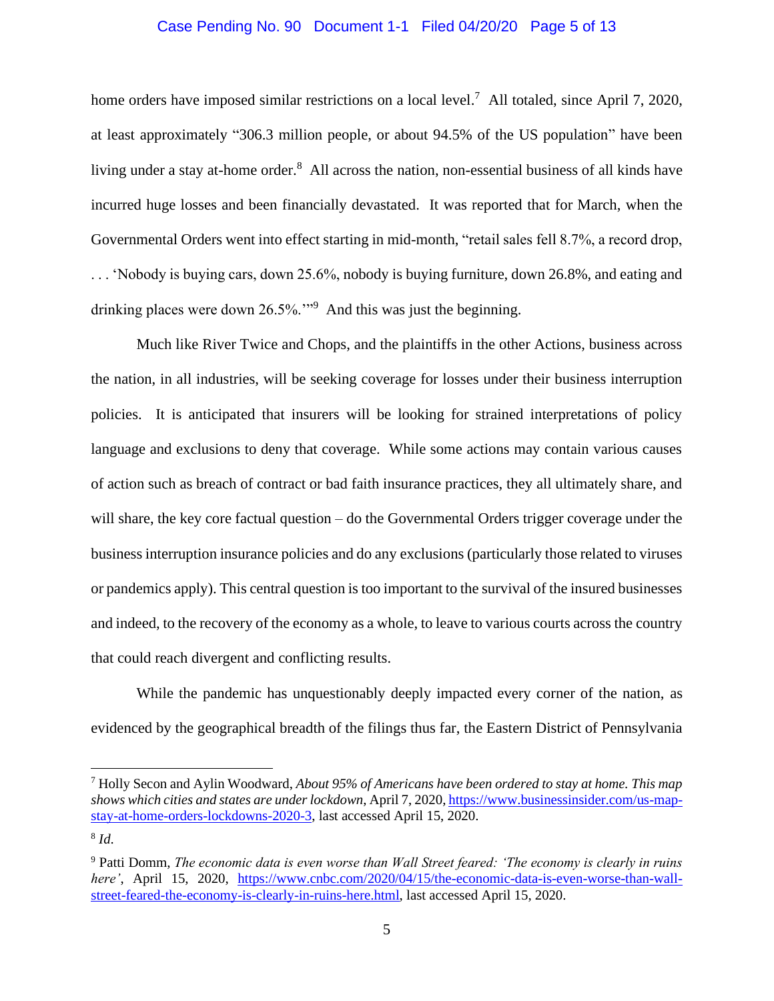#### Case Pending No. 90 Document 1-1 Filed 04/20/20 Page 5 of 13

home orders have imposed similar restrictions on a local level.<sup>7</sup> All totaled, since April 7, 2020, at least approximately "306.3 million people, or about 94.5% of the US population" have been living under a stay at-home order.<sup>8</sup> All across the nation, non-essential business of all kinds have incurred huge losses and been financially devastated. It was reported that for March, when the Governmental Orders went into effect starting in mid-month, "retail sales fell 8.7%, a record drop, . . . 'Nobody is buying cars, down 25.6%, nobody is buying furniture, down 26.8%, and eating and drinking places were down 26.5%."<sup>9</sup> And this was just the beginning.

Much like River Twice and Chops, and the plaintiffs in the other Actions, business across the nation, in all industries, will be seeking coverage for losses under their business interruption policies. It is anticipated that insurers will be looking for strained interpretations of policy language and exclusions to deny that coverage. While some actions may contain various causes of action such as breach of contract or bad faith insurance practices, they all ultimately share, and will share, the key core factual question – do the Governmental Orders trigger coverage under the business interruption insurance policies and do any exclusions (particularly those related to viruses or pandemics apply). This central question is too important to the survival of the insured businesses and indeed, to the recovery of the economy as a whole, to leave to various courts across the country that could reach divergent and conflicting results.

While the pandemic has unquestionably deeply impacted every corner of the nation, as evidenced by the geographical breadth of the filings thus far, the Eastern District of Pennsylvania

<sup>7</sup> Holly Secon and Aylin Woodward, *About 95% of Americans have been ordered to stay at home. This map shows which cities and states are under lockdown*, April 7, 2020, https://www.businessinsider.com/us-mapstay-at-home-orders-lockdowns-2020-3, last accessed April 15, 2020.

<sup>8</sup> *Id*.

<sup>9</sup> Patti Domm, *The economic data is even worse than Wall Street feared: 'The economy is clearly in ruins here'*, April 15, 2020, https://www.cnbc.com/2020/04/15/the-economic-data-is-even-worse-than-wallstreet-feared-the-economy-is-clearly-in-ruins-here.html, last accessed April 15, 2020.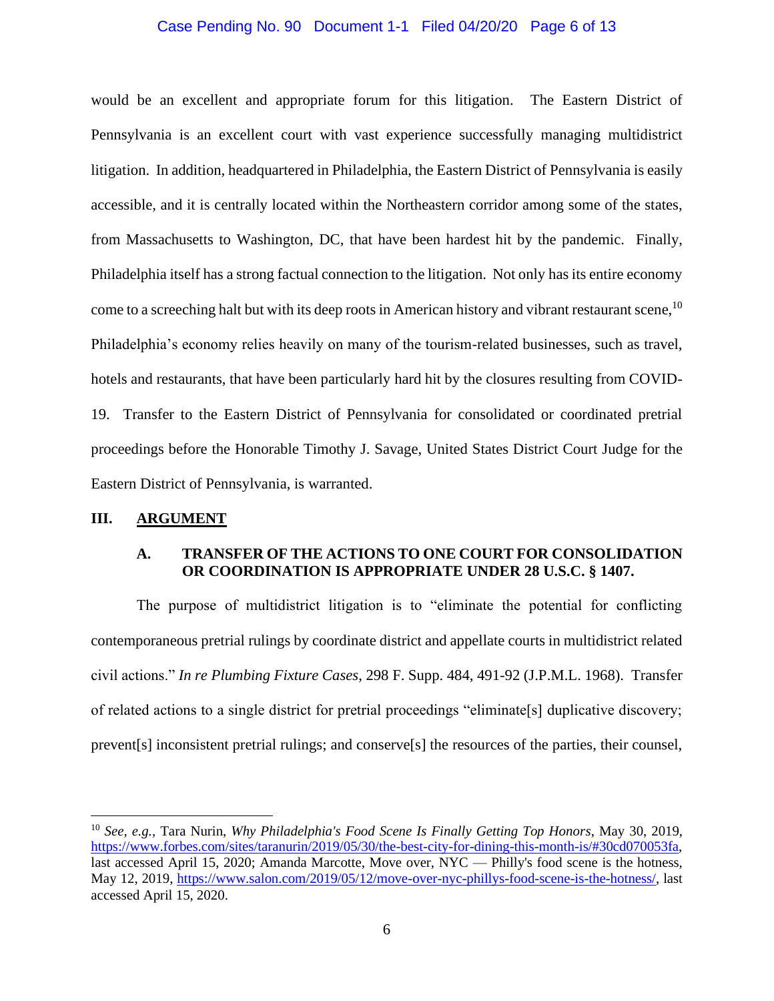#### Case Pending No. 90 Document 1-1 Filed 04/20/20 Page 6 of 13

would be an excellent and appropriate forum for this litigation. The Eastern District of Pennsylvania is an excellent court with vast experience successfully managing multidistrict litigation. In addition, headquartered in Philadelphia, the Eastern District of Pennsylvania is easily accessible, and it is centrally located within the Northeastern corridor among some of the states, from Massachusetts to Washington, DC, that have been hardest hit by the pandemic. Finally, Philadelphia itself has a strong factual connection to the litigation. Not only has its entire economy come to a screeching halt but with its deep roots in American history and vibrant restaurant scene, <sup>10</sup> Philadelphia's economy relies heavily on many of the tourism-related businesses, such as travel, hotels and restaurants, that have been particularly hard hit by the closures resulting from COVID-19. Transfer to the Eastern District of Pennsylvania for consolidated or coordinated pretrial proceedings before the Honorable Timothy J. Savage, United States District Court Judge for the Eastern District of Pennsylvania, is warranted.

### **III. ARGUMENT**

# **A. TRANSFER OF THE ACTIONS TO ONE COURT FOR CONSOLIDATION OR COORDINATION IS APPROPRIATE UNDER 28 U.S.C. § 1407.**

The purpose of multidistrict litigation is to "eliminate the potential for conflicting contemporaneous pretrial rulings by coordinate district and appellate courts in multidistrict related civil actions." *In re Plumbing Fixture Cases*, 298 F. Supp. 484, 491-92 (J.P.M.L. 1968). Transfer of related actions to a single district for pretrial proceedings "eliminate[s] duplicative discovery; prevent[s] inconsistent pretrial rulings; and conserve[s] the resources of the parties, their counsel,

<sup>10</sup> *See, e.g.,* Tara Nurin, *Why Philadelphia's Food Scene Is Finally Getting Top Honors*, May 30, 2019, https://www.forbes.com/sites/taranurin/2019/05/30/the-best-city-for-dining-this-month-is/#30cd070053fa, last accessed April 15, 2020; Amanda Marcotte, Move over, NYC — Philly's food scene is the hotness, May 12, 2019, https://www.salon.com/2019/05/12/move-over-nyc-phillys-food-scene-is-the-hotness/, last accessed April 15, 2020.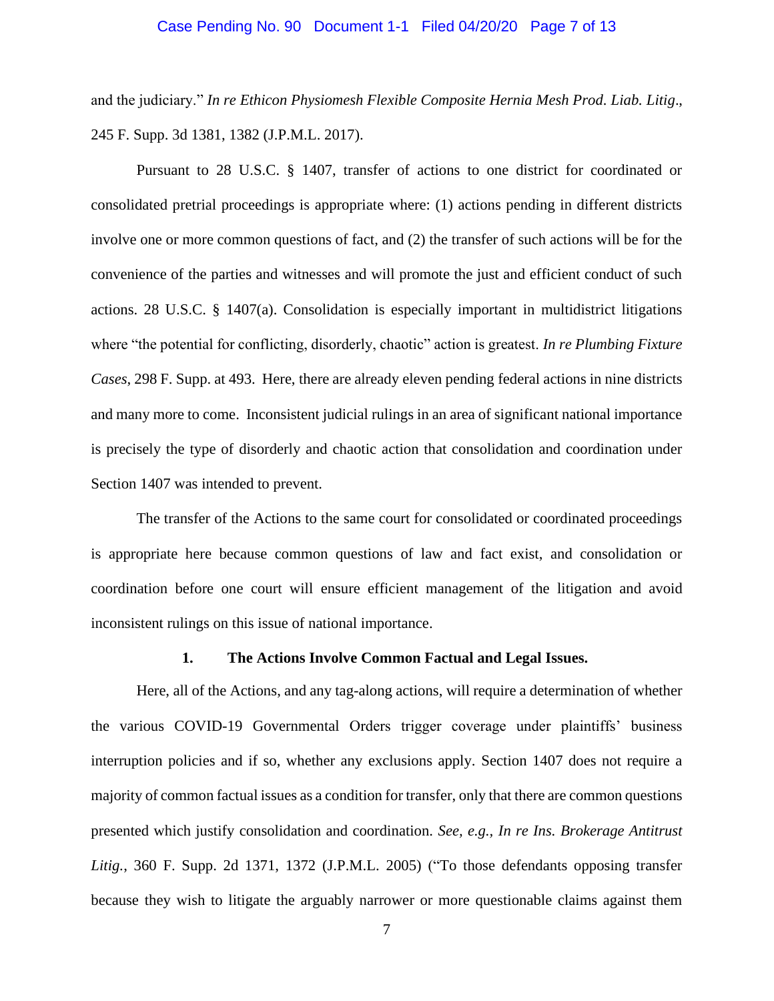#### Case Pending No. 90 Document 1-1 Filed 04/20/20 Page 7 of 13

and the judiciary." *In re Ethicon Physiomesh Flexible Composite Hernia Mesh Prod. Liab. Litig*., 245 F. Supp. 3d 1381, 1382 (J.P.M.L. 2017).

Pursuant to 28 U.S.C. § 1407, transfer of actions to one district for coordinated or consolidated pretrial proceedings is appropriate where: (1) actions pending in different districts involve one or more common questions of fact, and (2) the transfer of such actions will be for the convenience of the parties and witnesses and will promote the just and efficient conduct of such actions. 28 U.S.C. § 1407(a). Consolidation is especially important in multidistrict litigations where "the potential for conflicting, disorderly, chaotic" action is greatest. *In re Plumbing Fixture Cases*, 298 F. Supp. at 493. Here, there are already eleven pending federal actions in nine districts and many more to come. Inconsistent judicial rulings in an area of significant national importance is precisely the type of disorderly and chaotic action that consolidation and coordination under Section 1407 was intended to prevent.

The transfer of the Actions to the same court for consolidated or coordinated proceedings is appropriate here because common questions of law and fact exist, and consolidation or coordination before one court will ensure efficient management of the litigation and avoid inconsistent rulings on this issue of national importance.

#### **1. The Actions Involve Common Factual and Legal Issues.**

Here, all of the Actions, and any tag-along actions, will require a determination of whether the various COVID-19 Governmental Orders trigger coverage under plaintiffs' business interruption policies and if so, whether any exclusions apply. Section 1407 does not require a majority of common factual issues as a condition for transfer, only that there are common questions presented which justify consolidation and coordination. *See, e.g., In re Ins. Brokerage Antitrust Litig.*, 360 F. Supp. 2d 1371, 1372 (J.P.M.L. 2005) ("To those defendants opposing transfer because they wish to litigate the arguably narrower or more questionable claims against them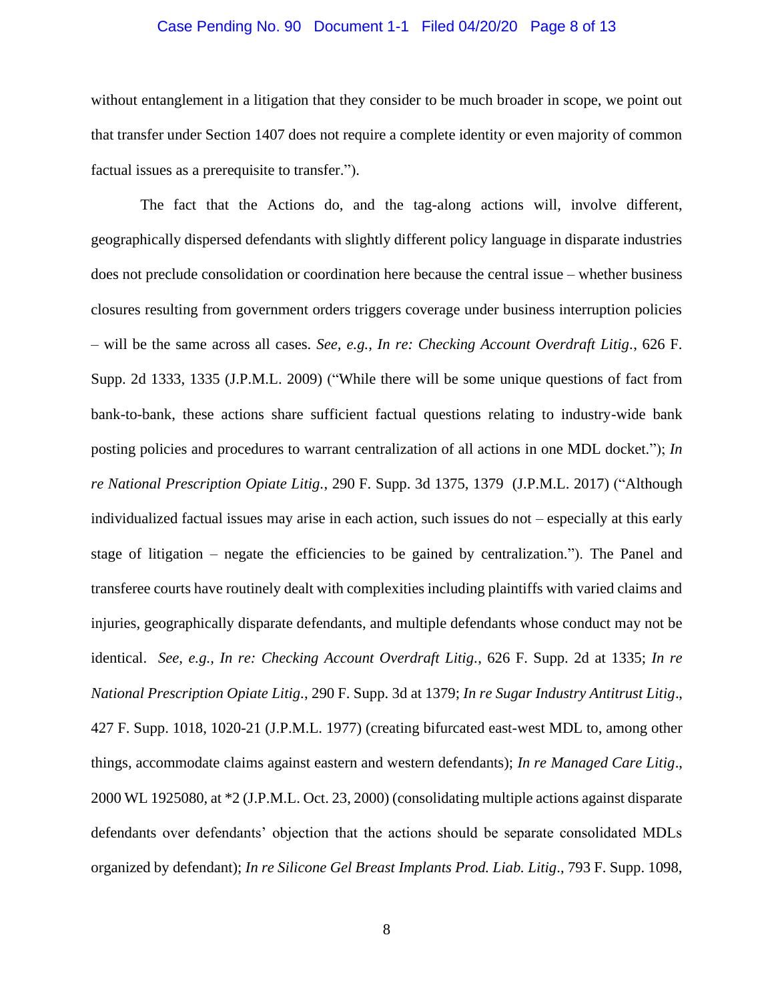#### Case Pending No. 90 Document 1-1 Filed 04/20/20 Page 8 of 13

without entanglement in a litigation that they consider to be much broader in scope, we point out that transfer under Section 1407 does not require a complete identity or even majority of common factual issues as a prerequisite to transfer.").

The fact that the Actions do, and the tag-along actions will, involve different, geographically dispersed defendants with slightly different policy language in disparate industries does not preclude consolidation or coordination here because the central issue – whether business closures resulting from government orders triggers coverage under business interruption policies – will be the same across all cases. *See, e.g., In re: Checking Account Overdraft Litig.*, 626 F. Supp. 2d 1333, 1335 (J.P.M.L. 2009) ("While there will be some unique questions of fact from bank-to-bank, these actions share sufficient factual questions relating to industry-wide bank posting policies and procedures to warrant centralization of all actions in one MDL docket."); *In re National Prescription Opiate Litig.*, 290 F. Supp. 3d 1375, 1379 (J.P.M.L. 2017) ("Although individualized factual issues may arise in each action, such issues do not – especially at this early stage of litigation – negate the efficiencies to be gained by centralization."). The Panel and transferee courts have routinely dealt with complexities including plaintiffs with varied claims and injuries, geographically disparate defendants, and multiple defendants whose conduct may not be identical. *See, e.g., In re: Checking Account Overdraft Litig.*, 626 F. Supp. 2d at 1335; *In re National Prescription Opiate Litig.*, 290 F. Supp. 3d at 1379; *In re Sugar Industry Antitrust Litig*., 427 F. Supp. 1018, 1020-21 (J.P.M.L. 1977) (creating bifurcated east-west MDL to, among other things, accommodate claims against eastern and western defendants); *In re Managed Care Litig*., 2000 WL 1925080, at \*2 (J.P.M.L. Oct. 23, 2000) (consolidating multiple actions against disparate defendants over defendants' objection that the actions should be separate consolidated MDLs organized by defendant); *In re Silicone Gel Breast Implants Prod. Liab. Litig*., 793 F. Supp. 1098,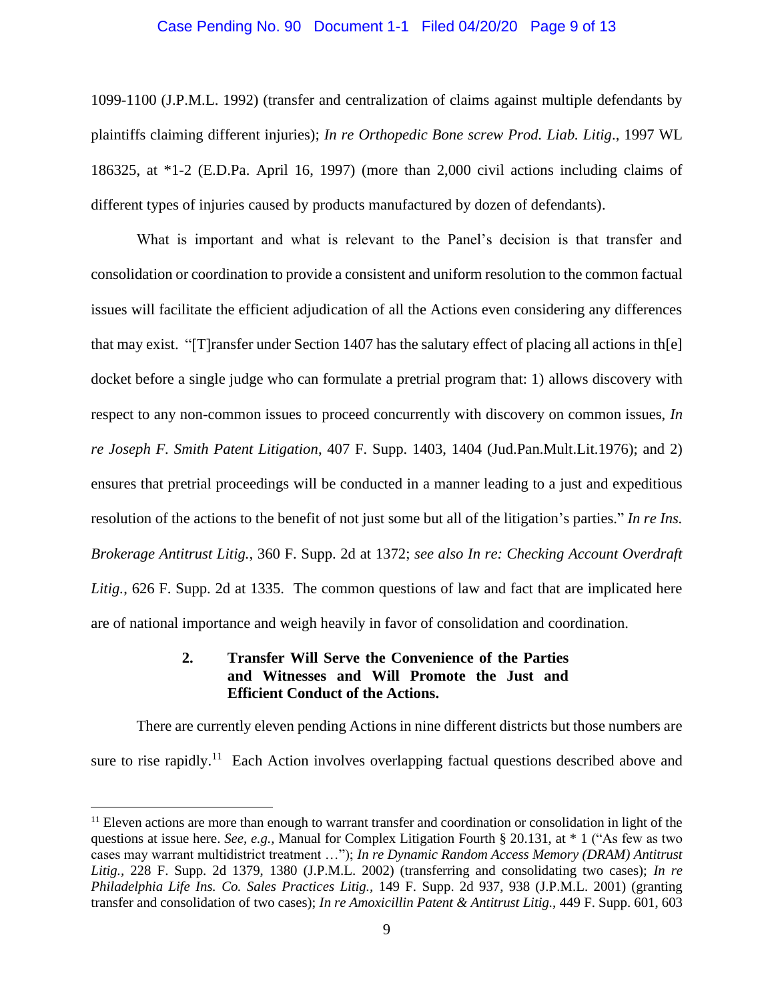#### Case Pending No. 90 Document 1-1 Filed 04/20/20 Page 9 of 13

1099-1100 (J.P.M.L. 1992) (transfer and centralization of claims against multiple defendants by plaintiffs claiming different injuries); *In re Orthopedic Bone screw Prod. Liab. Litig*., 1997 WL 186325, at \*1-2 (E.D.Pa. April 16, 1997) (more than 2,000 civil actions including claims of different types of injuries caused by products manufactured by dozen of defendants).

What is important and what is relevant to the Panel's decision is that transfer and consolidation or coordination to provide a consistent and uniform resolution to the common factual issues will facilitate the efficient adjudication of all the Actions even considering any differences that may exist. "[T]ransfer under Section 1407 has the salutary effect of placing all actions in th[e] docket before a single judge who can formulate a pretrial program that: 1) allows discovery with respect to any non-common issues to proceed concurrently with discovery on common issues, *In re Joseph F. Smith Patent Litigation*, 407 F. Supp. 1403, 1404 (Jud.Pan.Mult.Lit.1976); and 2) ensures that pretrial proceedings will be conducted in a manner leading to a just and expeditious resolution of the actions to the benefit of not just some but all of the litigation's parties." *In re Ins. Brokerage Antitrust Litig.*, 360 F. Supp. 2d at 1372; *see also In re: Checking Account Overdraft Litig.*, 626 F. Supp. 2d at 1335. The common questions of law and fact that are implicated here are of national importance and weigh heavily in favor of consolidation and coordination.

# **2. Transfer Will Serve the Convenience of the Parties and Witnesses and Will Promote the Just and Efficient Conduct of the Actions.**

There are currently eleven pending Actions in nine different districts but those numbers are sure to rise rapidly.<sup>11</sup> Each Action involves overlapping factual questions described above and

<sup>&</sup>lt;sup>11</sup> Eleven actions are more than enough to warrant transfer and coordination or consolidation in light of the questions at issue here. *See, e.g.,* Manual for Complex Litigation Fourth § 20.131, at \* 1 ("As few as two cases may warrant multidistrict treatment …"); *In re Dynamic Random Access Memory (DRAM) Antitrust Litig.,* 228 F. Supp. 2d 1379, 1380 (J.P.M.L. 2002) (transferring and consolidating two cases); *In re Philadelphia Life Ins. Co. Sales Practices Litig.,* 149 F. Supp. 2d 937, 938 (J.P.M.L. 2001) (granting transfer and consolidation of two cases); *In re Amoxicillin Patent & Antitrust Litig.,* 449 F. Supp. 601, 603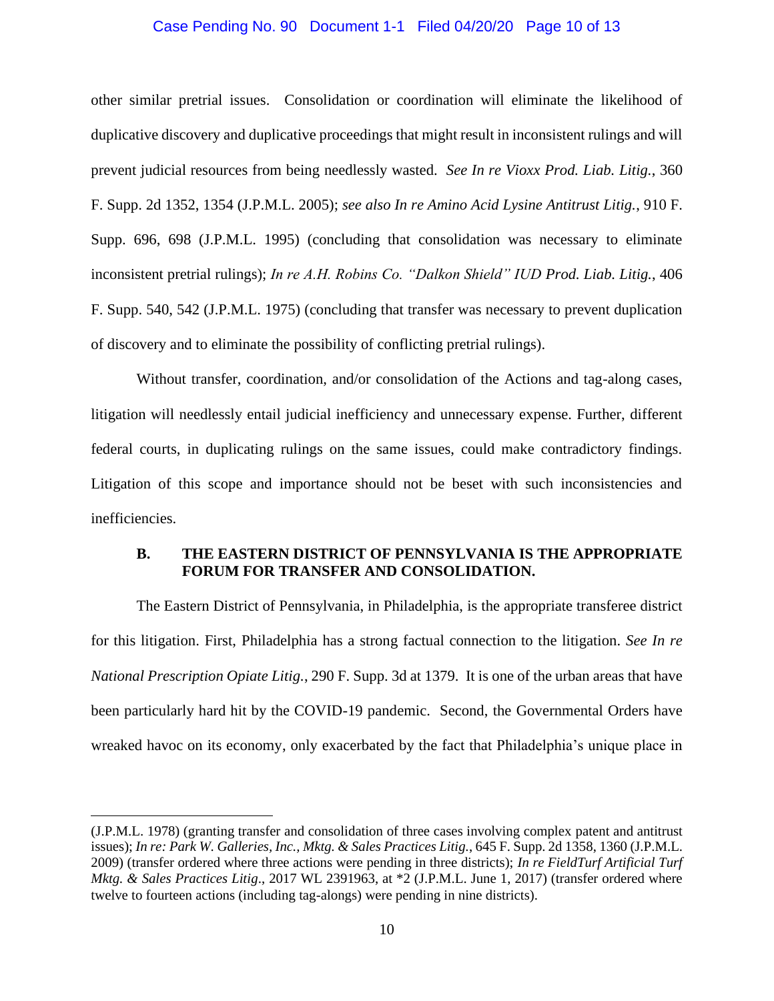#### Case Pending No. 90 Document 1-1 Filed 04/20/20 Page 10 of 13

other similar pretrial issues. Consolidation or coordination will eliminate the likelihood of duplicative discovery and duplicative proceedings that might result in inconsistent rulings and will prevent judicial resources from being needlessly wasted. *See In re Vioxx Prod. Liab. Litig.*, 360 F. Supp. 2d 1352, 1354 (J.P.M.L. 2005); *see also In re Amino Acid Lysine Antitrust Litig.*, 910 F. Supp. 696, 698 (J.P.M.L. 1995) (concluding that consolidation was necessary to eliminate inconsistent pretrial rulings); *In re A.H. Robins Co. "Dalkon Shield" IUD Prod. Liab. Litig.*, 406 F. Supp. 540, 542 (J.P.M.L. 1975) (concluding that transfer was necessary to prevent duplication of discovery and to eliminate the possibility of conflicting pretrial rulings).

Without transfer, coordination, and/or consolidation of the Actions and tag-along cases, litigation will needlessly entail judicial inefficiency and unnecessary expense. Further, different federal courts, in duplicating rulings on the same issues, could make contradictory findings. Litigation of this scope and importance should not be beset with such inconsistencies and inefficiencies.

### **B. THE EASTERN DISTRICT OF PENNSYLVANIA IS THE APPROPRIATE FORUM FOR TRANSFER AND CONSOLIDATION.**

The Eastern District of Pennsylvania, in Philadelphia, is the appropriate transferee district for this litigation. First, Philadelphia has a strong factual connection to the litigation. *See In re National Prescription Opiate Litig.*, 290 F. Supp. 3d at 1379. It is one of the urban areas that have been particularly hard hit by the COVID-19 pandemic. Second, the Governmental Orders have wreaked havoc on its economy, only exacerbated by the fact that Philadelphia's unique place in

<sup>(</sup>J.P.M.L. 1978) (granting transfer and consolidation of three cases involving complex patent and antitrust issues); *In re: Park W. Galleries, Inc., Mktg. & Sales Practices Litig.*, 645 F. Supp. 2d 1358, 1360 (J.P.M.L. 2009) (transfer ordered where three actions were pending in three districts); *In re FieldTurf Artificial Turf Mktg. & Sales Practices Litig*., 2017 WL 2391963, at \*2 (J.P.M.L. June 1, 2017) (transfer ordered where twelve to fourteen actions (including tag-alongs) were pending in nine districts).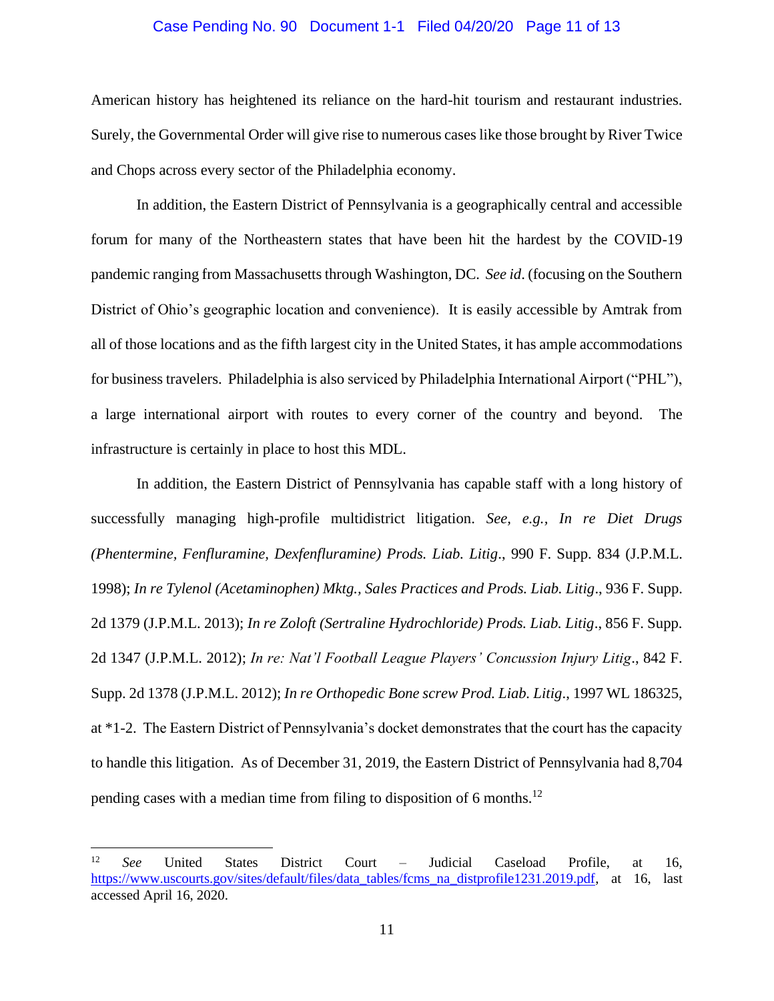#### Case Pending No. 90 Document 1-1 Filed 04/20/20 Page 11 of 13

American history has heightened its reliance on the hard-hit tourism and restaurant industries. Surely, the Governmental Order will give rise to numerous caseslike those brought by River Twice and Chops across every sector of the Philadelphia economy.

In addition, the Eastern District of Pennsylvania is a geographically central and accessible forum for many of the Northeastern states that have been hit the hardest by the COVID-19 pandemic ranging from Massachusetts through Washington, DC. *See id*. (focusing on the Southern District of Ohio's geographic location and convenience). It is easily accessible by Amtrak from all of those locations and as the fifth largest city in the United States, it has ample accommodations for business travelers. Philadelphia is also serviced by Philadelphia International Airport ("PHL"), a large international airport with routes to every corner of the country and beyond. The infrastructure is certainly in place to host this MDL.

In addition, the Eastern District of Pennsylvania has capable staff with a long history of successfully managing high-profile multidistrict litigation. *See, e.g., In re Diet Drugs (Phentermine, Fenfluramine, Dexfenfluramine) Prods. Liab. Litig*., 990 F. Supp. 834 (J.P.M.L. 1998); *In re Tylenol (Acetaminophen) Mktg., Sales Practices and Prods. Liab. Litig*., 936 F. Supp. 2d 1379 (J.P.M.L. 2013); *In re Zoloft (Sertraline Hydrochloride) Prods. Liab. Litig*., 856 F. Supp. 2d 1347 (J.P.M.L. 2012); *In re: Nat'l Football League Players' Concussion Injury Litig*., 842 F. Supp. 2d 1378 (J.P.M.L. 2012); *In re Orthopedic Bone screw Prod. Liab. Litig*., 1997 WL 186325, at \*1-2. The Eastern District of Pennsylvania's docket demonstrates that the court has the capacity to handle this litigation. As of December 31, 2019, the Eastern District of Pennsylvania had 8,704 pending cases with a median time from filing to disposition of 6 months.<sup>12</sup>

<sup>12</sup> *See* United States District Court – Judicial Caseload Profile, at 16, https://www.uscourts.gov/sites/default/files/data\_tables/fcms\_na\_distprofile1231.2019.pdf, at 16, last accessed April 16, 2020.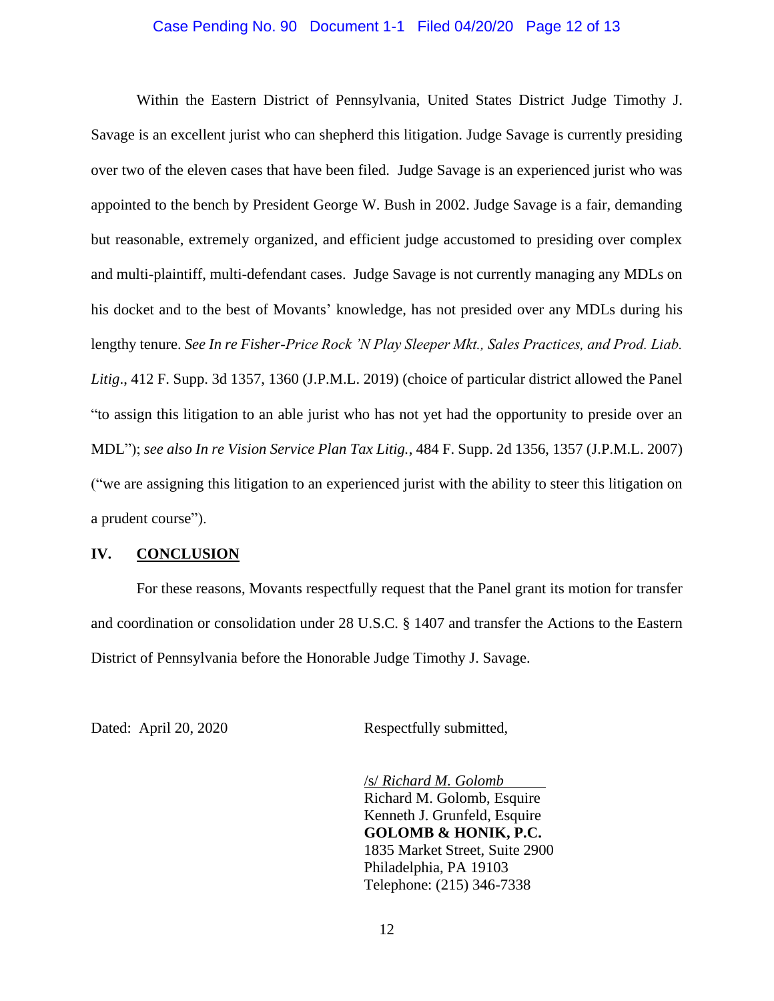#### Case Pending No. 90 Document 1-1 Filed 04/20/20 Page 12 of 13

Within the Eastern District of Pennsylvania, United States District Judge Timothy J. Savage is an excellent jurist who can shepherd this litigation. Judge Savage is currently presiding over two of the eleven cases that have been filed. Judge Savage is an experienced jurist who was appointed to the bench by President George W. Bush in 2002. Judge Savage is a fair, demanding but reasonable, extremely organized, and efficient judge accustomed to presiding over complex and multi-plaintiff, multi-defendant cases. Judge Savage is not currently managing any MDLs on his docket and to the best of Movants' knowledge, has not presided over any MDLs during his lengthy tenure. *See In re Fisher-Price Rock 'N Play Sleeper Mkt., Sales Practices, and Prod. Liab. Litig*., 412 F. Supp. 3d 1357, 1360 (J.P.M.L. 2019) (choice of particular district allowed the Panel "to assign this litigation to an able jurist who has not yet had the opportunity to preside over an MDL"); *see also In re Vision Service Plan Tax Litig.*, 484 F. Supp. 2d 1356, 1357 (J.P.M.L. 2007) ("we are assigning this litigation to an experienced jurist with the ability to steer this litigation on a prudent course").

### **IV. CONCLUSION**

For these reasons, Movants respectfully request that the Panel grant its motion for transfer and coordination or consolidation under 28 U.S.C. § 1407 and transfer the Actions to the Eastern District of Pennsylvania before the Honorable Judge Timothy J. Savage.

Dated: April 20, 2020 Respectfully submitted,

/s/ *Richard M. Golomb* Richard M. Golomb, Esquire Kenneth J. Grunfeld, Esquire **GOLOMB & HONIK, P.C.** 1835 Market Street, Suite 2900 Philadelphia, PA 19103 Telephone: (215) 346-7338